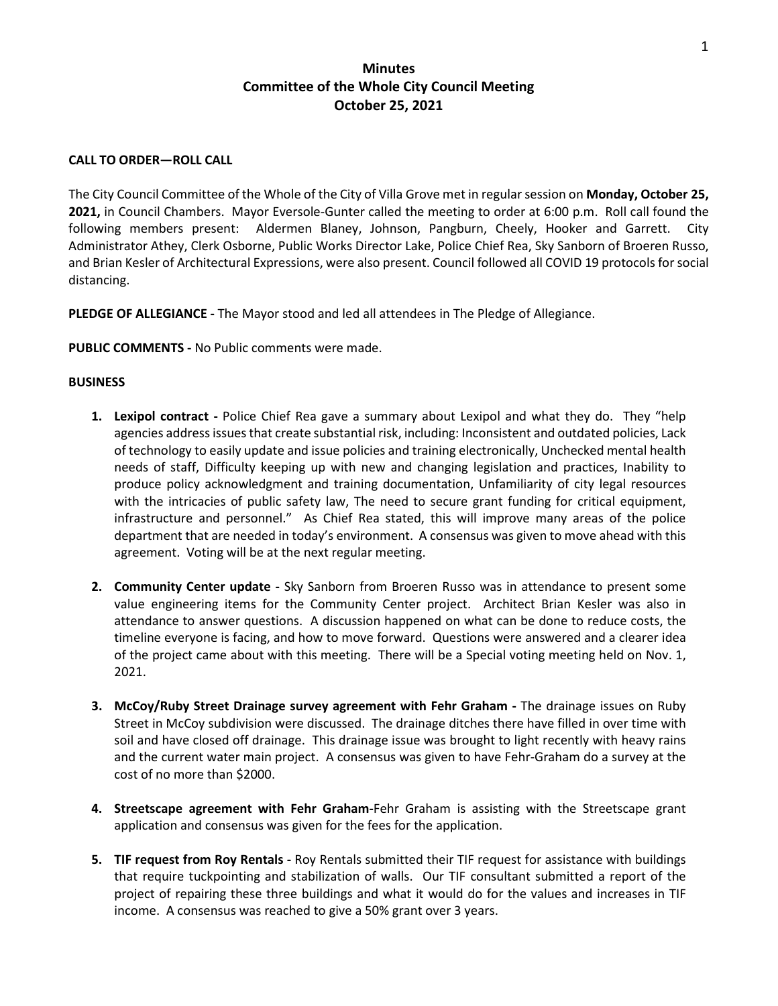# **Minutes Committee of the Whole City Council Meeting October 25, 2021**

### **CALL TO ORDER—ROLL CALL**

The City Council Committee of the Whole of the City of Villa Grove met in regular session on **Monday, October 25, 2021,** in Council Chambers. Mayor Eversole-Gunter called the meeting to order at 6:00 p.m. Roll call found the following members present: Aldermen Blaney, Johnson, Pangburn, Cheely, Hooker and Garrett. City Administrator Athey, Clerk Osborne, Public Works Director Lake, Police Chief Rea, Sky Sanborn of Broeren Russo, and Brian Kesler of Architectural Expressions, were also present. Council followed all COVID 19 protocols for social distancing.

**PLEDGE OF ALLEGIANCE -** The Mayor stood and led all attendees in The Pledge of Allegiance.

**PUBLIC COMMENTS -** No Public comments were made.

#### **BUSINESS**

- **1.** Lexipol contract Police Chief Rea gave a summary about Lexipol and what they do. They "help agencies address issues that create substantial risk, including: Inconsistent and outdated policies, Lack of technology to easily update and issue policies and training electronically, Unchecked mental health needs of staff, Difficulty keeping up with new and changing legislation and practices, Inability to produce policy acknowledgment and training documentation, Unfamiliarity of city legal resources with the intricacies of public safety law, The need to secure grant funding for critical equipment, infrastructure and personnel." As Chief Rea stated, this will improve many areas of the police department that are needed in today's environment. A consensus was given to move ahead with this agreement. Voting will be at the next regular meeting.
- **2. Community Center update -** Sky Sanborn from Broeren Russo was in attendance to present some value engineering items for the Community Center project. Architect Brian Kesler was also in attendance to answer questions. A discussion happened on what can be done to reduce costs, the timeline everyone is facing, and how to move forward. Questions were answered and a clearer idea of the project came about with this meeting. There will be a Special voting meeting held on Nov. 1, 2021.
- **3. McCoy/Ruby Street Drainage survey agreement with Fehr Graham -** The drainage issues on Ruby Street in McCoy subdivision were discussed. The drainage ditches there have filled in over time with soil and have closed off drainage. This drainage issue was brought to light recently with heavy rains and the current water main project. A consensus was given to have Fehr-Graham do a survey at the cost of no more than \$2000.
- **4. Streetscape agreement with Fehr Graham-**Fehr Graham is assisting with the Streetscape grant application and consensus was given for the fees for the application.
- **5. TIF request from Roy Rentals -** Roy Rentals submitted their TIF request for assistance with buildings that require tuckpointing and stabilization of walls. Our TIF consultant submitted a report of the project of repairing these three buildings and what it would do for the values and increases in TIF income. A consensus was reached to give a 50% grant over 3 years.